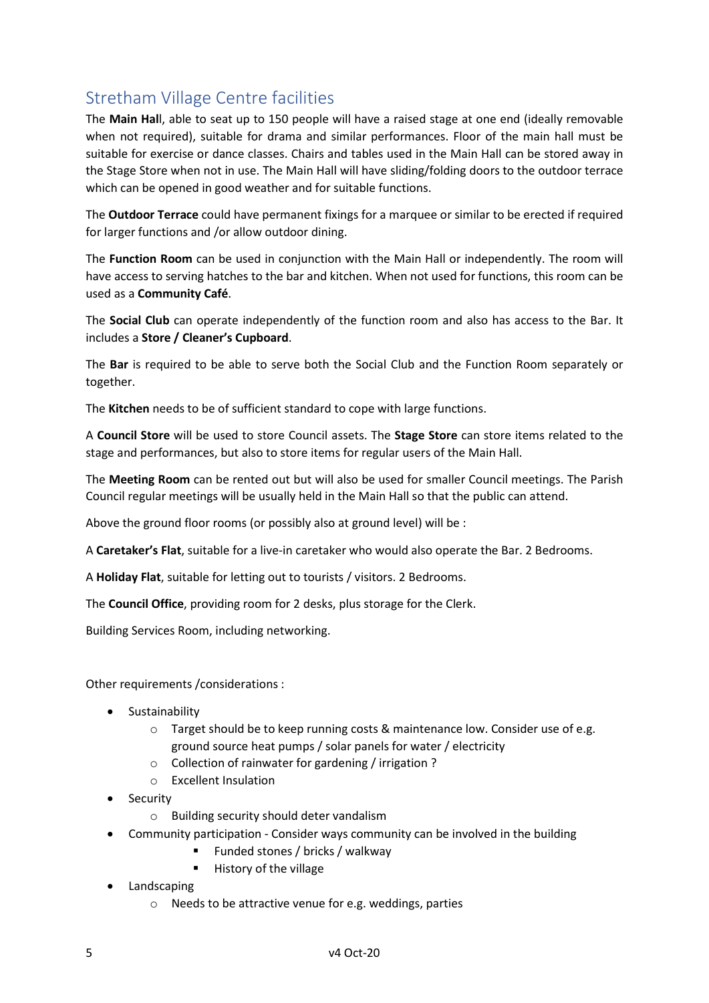## Stretham Village Centre facilities

The Main Hall, able to seat up to 150 people will have a raised stage at one end (ideally removable when not required), suitable for drama and similar performances. Floor of the main hall must be suitable for exercise or dance classes. Chairs and tables used in the Main Hall can be stored away in the Stage Store when not in use. The Main Hall will have sliding/folding doors to the outdoor terrace which can be opened in good weather and for suitable functions.

The Outdoor Terrace could have permanent fixings for a marquee or similar to be erected if required for larger functions and /or allow outdoor dining.

The Function Room can be used in conjunction with the Main Hall or independently. The room will have access to serving hatches to the bar and kitchen. When not used for functions, this room can be used as a Community Café.

The Social Club can operate independently of the function room and also has access to the Bar. It includes a Store / Cleaner's Cupboard.

The Bar is required to be able to serve both the Social Club and the Function Room separately or together.

The Kitchen needs to be of sufficient standard to cope with large functions.

A Council Store will be used to store Council assets. The Stage Store can store items related to the stage and performances, but also to store items for regular users of the Main Hall.

The Meeting Room can be rented out but will also be used for smaller Council meetings. The Parish Council regular meetings will be usually held in the Main Hall so that the public can attend.

Above the ground floor rooms (or possibly also at ground level) will be :

A Caretaker's Flat, suitable for a live-in caretaker who would also operate the Bar. 2 Bedrooms.

A Holiday Flat, suitable for letting out to tourists / visitors. 2 Bedrooms.

The Council Office, providing room for 2 desks, plus storage for the Clerk.

Building Services Room, including networking.

Other requirements /considerations :

- **•** Sustainability
	- o Target should be to keep running costs & maintenance low. Consider use of e.g. ground source heat pumps / solar panels for water / electricity
	- o Collection of rainwater for gardening / irrigation ?
	- o Excellent Insulation
- Security
	- o Building security should deter vandalism
- Community participation Consider ways community can be involved in the building
	- Funded stones / bricks / walkway
	- **History of the village**
- Landscaping
	- o Needs to be attractive venue for e.g. weddings, parties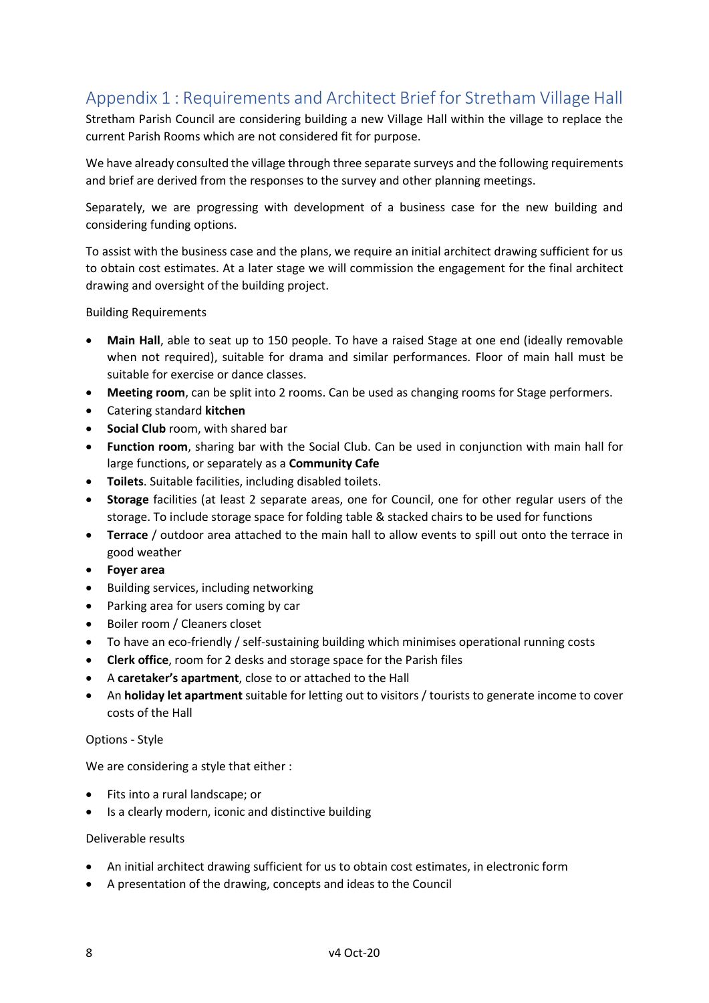# Appendix 1 : Requirements and Architect Brief for Stretham Village Hall

Stretham Parish Council are considering building a new Village Hall within the village to replace the current Parish Rooms which are not considered fit for purpose.

We have already consulted the village through three separate surveys and the following requirements and brief are derived from the responses to the survey and other planning meetings.

Separately, we are progressing with development of a business case for the new building and considering funding options.

To assist with the business case and the plans, we require an initial architect drawing sufficient for us to obtain cost estimates. At a later stage we will commission the engagement for the final architect drawing and oversight of the building project.

Building Requirements

- Main Hall, able to seat up to 150 people. To have a raised Stage at one end (ideally removable when not required), suitable for drama and similar performances. Floor of main hall must be suitable for exercise or dance classes.
- Meeting room, can be split into 2 rooms. Can be used as changing rooms for Stage performers.
- Catering standard kitchen
- Social Club room, with shared bar
- Function room, sharing bar with the Social Club. Can be used in conjunction with main hall for large functions, or separately as a Community Cafe
- **Toilets**. Suitable facilities, including disabled toilets.
- Storage facilities (at least 2 separate areas, one for Council, one for other regular users of the storage. To include storage space for folding table & stacked chairs to be used for functions
- Terrace / outdoor area attached to the main hall to allow events to spill out onto the terrace in good weather
- Foyer area
- Building services, including networking
- Parking area for users coming by car
- Boiler room / Cleaners closet
- To have an eco-friendly / self-sustaining building which minimises operational running costs
- Clerk office, room for 2 desks and storage space for the Parish files
- A caretaker's apartment, close to or attached to the Hall
- An holiday let apartment suitable for letting out to visitors / tourists to generate income to cover costs of the Hall

#### Options - Style

We are considering a style that either :

- Fits into a rural landscape; or
- Is a clearly modern, iconic and distinctive building

#### Deliverable results

- An initial architect drawing sufficient for us to obtain cost estimates, in electronic form
- A presentation of the drawing, concepts and ideas to the Council